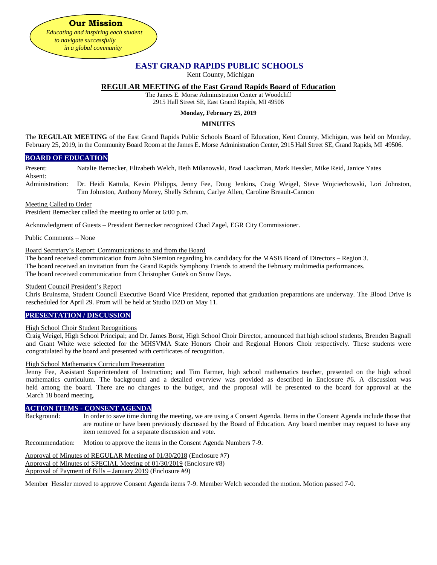**EAST GRAND RAPIDS PUBLIC SCHOOLS**

Kent County, Michigan

# **REGULAR MEETING of the East Grand Rapids Board of Education**

The James E. Morse Administration Center at Woodcliff 2915 Hall Street SE, East Grand Rapids, MI 49506

## **Monday, February 25, 2019**

## **MINUTES**

The **REGULAR MEETING** of the East Grand Rapids Public Schools Board of Education, Kent County, Michigan, was held on Monday, February 25, 2019, in the Community Board Room at the James E. Morse Administration Center, 2915 Hall Street SE, Grand Rapids, MI 49506.

# **BOARD OF EDUCATION**

Present: Natalie Bernecker, Elizabeth Welch, Beth Milanowski, Brad Laackman, Mark Hessler, Mike Reid, Janice Yates Absent:

Administration: Dr. Heidi Kattula, Kevin Philipps, Jenny Fee, Doug Jenkins, Craig Weigel, Steve Wojciechowski, Lori Johnston, Tim Johnston, Anthony Morey, Shelly Schram, Carlye Allen, Caroline Breault-Cannon

### Meeting Called to Order

President Bernecker called the meeting to order at 6:00 p.m.

**Our Mission** *Educating and inspiring each student to navigate successfully in a global community*

Acknowledgment of Guests – President Bernecker recognized Chad Zagel, EGR City Commissioner.

Public Comments – None

## Board Secretary's Report: Communications to and from the Board

The board received communication from John Siemion regarding his candidacy for the MASB Board of Directors – Region 3. The board received an invitation from the Grand Rapids Symphony Friends to attend the February multimedia performances. The board received communication from Christopher Gutek on Snow Days.

## Student Council President's Report

Chris Bruinsma, Student Council Executive Board Vice President, reported that graduation preparations are underway. The Blood Drive is rescheduled for April 29. Prom will be held at Studio D2D on May 11.

## **PRESENTATION / DISCUSSION**

## High School Choir Student Recognitions

Craig Weigel, High School Principal; and Dr. James Borst, High School Choir Director, announced that high school students, Brenden Bagnall and Grant White were selected for the MHSVMA State Honors Choir and Regional Honors Choir respectively. These students were congratulated by the board and presented with certificates of recognition.

### High School Mathematics Curriculum Presentation

Jenny Fee, Assistant Superintendent of Instruction; and Tim Farmer, high school mathematics teacher, presented on the high school mathematics curriculum. The background and a detailed overview was provided as described in Enclosure #6. A discussion was held among the board. There are no changes to the budget, and the proposal will be presented to the board for approval at the March 18 board meeting.

### **ACTION ITEMS - CONSENT AGENDA**

Background: In order to save time during the meeting, we are using a Consent Agenda. Items in the Consent Agenda include those that are routine or have been previously discussed by the Board of Education. Any board member may request to have any item removed for a separate discussion and vote.

Recommendation: Motion to approve the items in the Consent Agenda Numbers 7-9.

Approval of Minutes of REGULAR Meeting of 01/30/2018 (Enclosure #7) Approval of Minutes of SPECIAL Meeting of 01/30/2019 (Enclosure #8) Approval of Payment of Bills – January 2019 (Enclosure #9)

Member Hessler moved to approve Consent Agenda items 7-9. Member Welch seconded the motion. Motion passed 7-0.